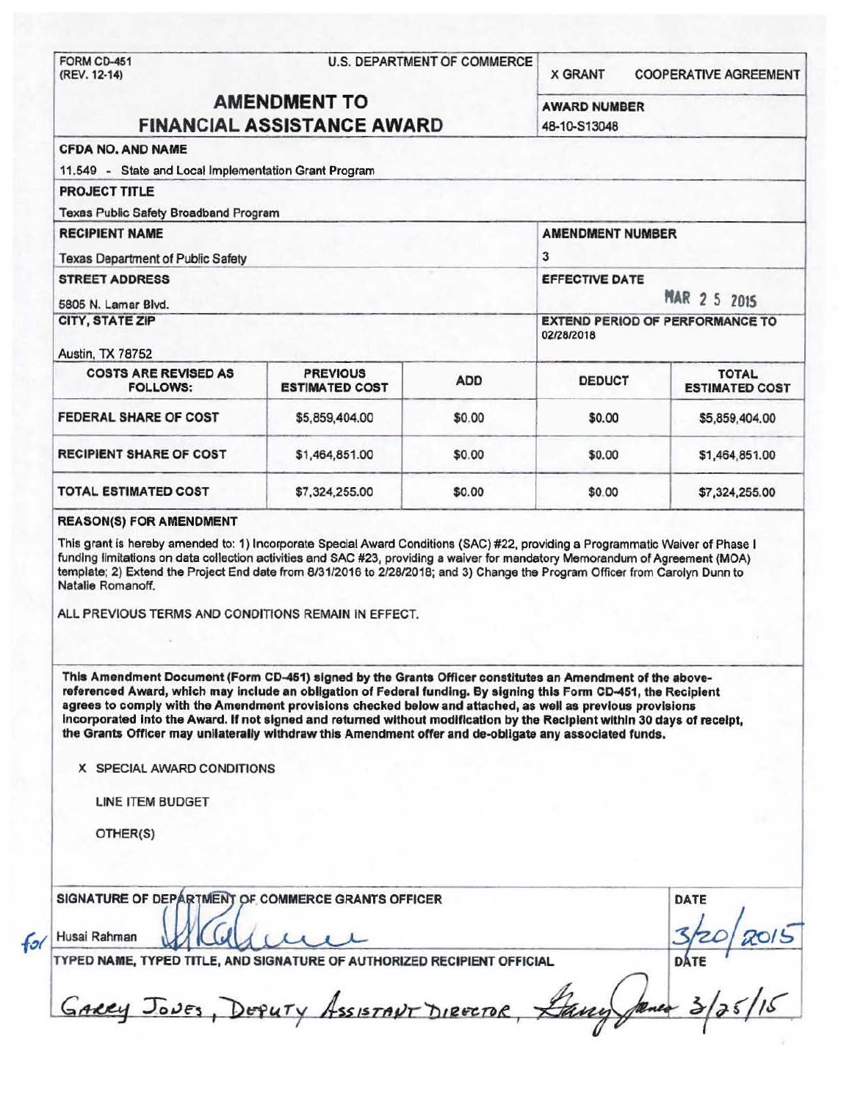| <b>AMENDMENT TO</b><br><b>AWARD NUMBER</b><br><b>FINANCIAL ASSISTANCE AWARD</b><br>48-10-S13048<br><b>CFDA NO, AND NAME</b><br>11.549 - State and Local Implementation Grant Program<br><b>PROJECT TITLE</b><br><b>Texas Public Safety Broadband Program</b><br><b>RECIPIENT NAME</b><br><b>AMENDMENT NUMBER</b><br>3<br><b>Texas Department of Public Safety</b><br><b>STREET ADDRESS</b><br><b>EFFECTIVE DATE</b><br><b>MAR 2 5 2015</b><br>5805 N. Lamar Blvd.<br><b>CITY, STATE ZIP</b><br><b>EXTEND PERIOD OF PERFORMANCE TO</b><br>02/28/2018<br><b>PREVIOUS</b><br><b>COSTS ARE REVISED AS</b><br><b>TOTAL</b><br><b>ADD</b><br><b>DEDUCT</b><br><b>ESTIMATED COST</b><br><b>FOLLOWS:</b><br>FEDERAL SHARE OF COST<br>\$5,859,404.00<br>\$0.00<br>\$0.00<br>\$5,859,404.00<br><b>RECIPIENT SHARE OF COST</b><br>\$1,464,851.00<br>\$0.00<br>\$0.00<br>\$1,464,851.00<br><b>TOTAL ESTIMATED COST</b><br>\$7,324,255.00<br>\$0.00<br>\$0.00<br>\$7,324,255.00<br><b>REASON(S) FOR AMENDMENT</b><br>This grant is hereby amended to: 1) Incorporate Special Award Conditions (SAC) #22, providing a Programmatic Waiver of Phase I<br>funding limitations on data collection activities and SAC #23, providing a waiver for mandatory Memorandum of Agreement (MOA)<br>template; 2) Extend the Project End date from 8/31/2016 to 2/28/2018; and 3) Change the Program Officer from Carolyn Dunn to<br>Natalie Romanoff.<br>ALL PREVIOUS TERMS AND CONDITIONS REMAIN IN EFFECT.<br>This Amendment Document (Form CD-451) signed by the Grants Officer constitutes an Amendment of the above-<br>referenced Award, which may include an obligation of Federal funding. By signing this Form CD-451, the Recipient<br>agrees to comply with the Amendment provisions checked below and attached, as well as previous provisions<br>incorporated into the Award. If not signed and returned without modification by the Recipient within 30 days of receipt,<br>the Grants Officer may unilaterally withdraw this Amendment offer and de-obligate any associated funds.<br>X SPECIAL AWARD CONDITIONS<br><b>LINE ITEM BUDGET</b><br>OTHER(S)<br>SIGNATURE OF DEPARTMENT OF COMMERCE GRANTS OFFICER<br>DATE | FORM CD-451<br>(REV. 12-14) | <b>U.S. DEPARTMENT OF COMMERCE</b> |  |  | <b>COOPERATIVE AGREEMENT</b> |
|-------------------------------------------------------------------------------------------------------------------------------------------------------------------------------------------------------------------------------------------------------------------------------------------------------------------------------------------------------------------------------------------------------------------------------------------------------------------------------------------------------------------------------------------------------------------------------------------------------------------------------------------------------------------------------------------------------------------------------------------------------------------------------------------------------------------------------------------------------------------------------------------------------------------------------------------------------------------------------------------------------------------------------------------------------------------------------------------------------------------------------------------------------------------------------------------------------------------------------------------------------------------------------------------------------------------------------------------------------------------------------------------------------------------------------------------------------------------------------------------------------------------------------------------------------------------------------------------------------------------------------------------------------------------------------------------------------------------------------------------------------------------------------------------------------------------------------------------------------------------------------------------------------------------------------------------------------------------------------------------------------------------------------------------------------------------------------------------------------------------------------------------------------------------------------------------------------------|-----------------------------|------------------------------------|--|--|------------------------------|
|                                                                                                                                                                                                                                                                                                                                                                                                                                                                                                                                                                                                                                                                                                                                                                                                                                                                                                                                                                                                                                                                                                                                                                                                                                                                                                                                                                                                                                                                                                                                                                                                                                                                                                                                                                                                                                                                                                                                                                                                                                                                                                                                                                                                             |                             |                                    |  |  |                              |
|                                                                                                                                                                                                                                                                                                                                                                                                                                                                                                                                                                                                                                                                                                                                                                                                                                                                                                                                                                                                                                                                                                                                                                                                                                                                                                                                                                                                                                                                                                                                                                                                                                                                                                                                                                                                                                                                                                                                                                                                                                                                                                                                                                                                             |                             |                                    |  |  |                              |
|                                                                                                                                                                                                                                                                                                                                                                                                                                                                                                                                                                                                                                                                                                                                                                                                                                                                                                                                                                                                                                                                                                                                                                                                                                                                                                                                                                                                                                                                                                                                                                                                                                                                                                                                                                                                                                                                                                                                                                                                                                                                                                                                                                                                             |                             |                                    |  |  |                              |
|                                                                                                                                                                                                                                                                                                                                                                                                                                                                                                                                                                                                                                                                                                                                                                                                                                                                                                                                                                                                                                                                                                                                                                                                                                                                                                                                                                                                                                                                                                                                                                                                                                                                                                                                                                                                                                                                                                                                                                                                                                                                                                                                                                                                             |                             |                                    |  |  |                              |
|                                                                                                                                                                                                                                                                                                                                                                                                                                                                                                                                                                                                                                                                                                                                                                                                                                                                                                                                                                                                                                                                                                                                                                                                                                                                                                                                                                                                                                                                                                                                                                                                                                                                                                                                                                                                                                                                                                                                                                                                                                                                                                                                                                                                             |                             |                                    |  |  |                              |
|                                                                                                                                                                                                                                                                                                                                                                                                                                                                                                                                                                                                                                                                                                                                                                                                                                                                                                                                                                                                                                                                                                                                                                                                                                                                                                                                                                                                                                                                                                                                                                                                                                                                                                                                                                                                                                                                                                                                                                                                                                                                                                                                                                                                             |                             |                                    |  |  |                              |
|                                                                                                                                                                                                                                                                                                                                                                                                                                                                                                                                                                                                                                                                                                                                                                                                                                                                                                                                                                                                                                                                                                                                                                                                                                                                                                                                                                                                                                                                                                                                                                                                                                                                                                                                                                                                                                                                                                                                                                                                                                                                                                                                                                                                             |                             |                                    |  |  |                              |
|                                                                                                                                                                                                                                                                                                                                                                                                                                                                                                                                                                                                                                                                                                                                                                                                                                                                                                                                                                                                                                                                                                                                                                                                                                                                                                                                                                                                                                                                                                                                                                                                                                                                                                                                                                                                                                                                                                                                                                                                                                                                                                                                                                                                             |                             |                                    |  |  |                              |
|                                                                                                                                                                                                                                                                                                                                                                                                                                                                                                                                                                                                                                                                                                                                                                                                                                                                                                                                                                                                                                                                                                                                                                                                                                                                                                                                                                                                                                                                                                                                                                                                                                                                                                                                                                                                                                                                                                                                                                                                                                                                                                                                                                                                             |                             |                                    |  |  |                              |
|                                                                                                                                                                                                                                                                                                                                                                                                                                                                                                                                                                                                                                                                                                                                                                                                                                                                                                                                                                                                                                                                                                                                                                                                                                                                                                                                                                                                                                                                                                                                                                                                                                                                                                                                                                                                                                                                                                                                                                                                                                                                                                                                                                                                             |                             |                                    |  |  |                              |
|                                                                                                                                                                                                                                                                                                                                                                                                                                                                                                                                                                                                                                                                                                                                                                                                                                                                                                                                                                                                                                                                                                                                                                                                                                                                                                                                                                                                                                                                                                                                                                                                                                                                                                                                                                                                                                                                                                                                                                                                                                                                                                                                                                                                             | Austin, TX 78752            |                                    |  |  |                              |
|                                                                                                                                                                                                                                                                                                                                                                                                                                                                                                                                                                                                                                                                                                                                                                                                                                                                                                                                                                                                                                                                                                                                                                                                                                                                                                                                                                                                                                                                                                                                                                                                                                                                                                                                                                                                                                                                                                                                                                                                                                                                                                                                                                                                             |                             |                                    |  |  | <b>ESTIMATED COST</b>        |
|                                                                                                                                                                                                                                                                                                                                                                                                                                                                                                                                                                                                                                                                                                                                                                                                                                                                                                                                                                                                                                                                                                                                                                                                                                                                                                                                                                                                                                                                                                                                                                                                                                                                                                                                                                                                                                                                                                                                                                                                                                                                                                                                                                                                             |                             |                                    |  |  |                              |
|                                                                                                                                                                                                                                                                                                                                                                                                                                                                                                                                                                                                                                                                                                                                                                                                                                                                                                                                                                                                                                                                                                                                                                                                                                                                                                                                                                                                                                                                                                                                                                                                                                                                                                                                                                                                                                                                                                                                                                                                                                                                                                                                                                                                             |                             |                                    |  |  |                              |
|                                                                                                                                                                                                                                                                                                                                                                                                                                                                                                                                                                                                                                                                                                                                                                                                                                                                                                                                                                                                                                                                                                                                                                                                                                                                                                                                                                                                                                                                                                                                                                                                                                                                                                                                                                                                                                                                                                                                                                                                                                                                                                                                                                                                             |                             |                                    |  |  |                              |
|                                                                                                                                                                                                                                                                                                                                                                                                                                                                                                                                                                                                                                                                                                                                                                                                                                                                                                                                                                                                                                                                                                                                                                                                                                                                                                                                                                                                                                                                                                                                                                                                                                                                                                                                                                                                                                                                                                                                                                                                                                                                                                                                                                                                             |                             |                                    |  |  |                              |
|                                                                                                                                                                                                                                                                                                                                                                                                                                                                                                                                                                                                                                                                                                                                                                                                                                                                                                                                                                                                                                                                                                                                                                                                                                                                                                                                                                                                                                                                                                                                                                                                                                                                                                                                                                                                                                                                                                                                                                                                                                                                                                                                                                                                             |                             |                                    |  |  |                              |
|                                                                                                                                                                                                                                                                                                                                                                                                                                                                                                                                                                                                                                                                                                                                                                                                                                                                                                                                                                                                                                                                                                                                                                                                                                                                                                                                                                                                                                                                                                                                                                                                                                                                                                                                                                                                                                                                                                                                                                                                                                                                                                                                                                                                             |                             |                                    |  |  |                              |
|                                                                                                                                                                                                                                                                                                                                                                                                                                                                                                                                                                                                                                                                                                                                                                                                                                                                                                                                                                                                                                                                                                                                                                                                                                                                                                                                                                                                                                                                                                                                                                                                                                                                                                                                                                                                                                                                                                                                                                                                                                                                                                                                                                                                             |                             |                                    |  |  |                              |
|                                                                                                                                                                                                                                                                                                                                                                                                                                                                                                                                                                                                                                                                                                                                                                                                                                                                                                                                                                                                                                                                                                                                                                                                                                                                                                                                                                                                                                                                                                                                                                                                                                                                                                                                                                                                                                                                                                                                                                                                                                                                                                                                                                                                             |                             |                                    |  |  |                              |

 $fol$ 

TYPED NAME, TYPED TITLE, AND SIGNATURE OF AUTHORIZED RECIPIENT OFFICIAL

Husai Rahman MCCL COLL 3/z0 2015<br>TYPED NAME, TYPED TITLE, AND SIGNATURE OF AUTHORIZED RECIPIENT OFFICIAL DATE<br>GARRY JONES, DEPUTY Assistant Director, Lang James 3/25/16 b~L.U *J*  Joves, DEPUTY Assistant Director, Lang James 3/25/16